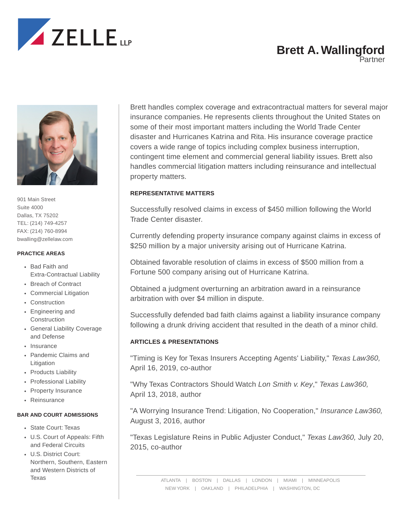

# **Brett A. Wallingford**

**Partner** 



901 Main Street Suite 4000 Dallas, TX 75202 TEL: (214) 749-4257 FAX: (214) 760-8994 bwalling@zellelaw.com

#### **PRACTICE AREAS**

- Bad Faith and Extra-Contractual Liability
- Breach of Contract
- Commercial Litigation
- Construction
- Engineering and Construction
- General Liability Coverage and Defense
- Insurance
- Pandemic Claims and Litigation
- Products Liability
- Professional Liability
- Property Insurance
- Reinsurance

#### **BAR AND COURT ADMISSIONS**

- State Court: Texas
- U.S. Court of Appeals: Fifth and Federal Circuits
- U.S. District Court: Northern, Southern, Eastern and Western Districts of Texas

Brett handles complex coverage and extracontractual matters for several major insurance companies. He represents clients throughout the United States on some of their most important matters including the World Trade Center disaster and Hurricanes Katrina and Rita. His insurance coverage practice covers a wide range of topics including complex business interruption, contingent time element and commercial general liability issues. Brett also handles commercial litigation matters including reinsurance and intellectual property matters.

### **REPRESENTATIVE MATTERS**

Successfully resolved claims in excess of \$450 million following the World Trade Center disaster.

Currently defending property insurance company against claims in excess of \$250 million by a major university arising out of Hurricane Katrina.

Obtained favorable resolution of claims in excess of \$500 million from a Fortune 500 company arising out of Hurricane Katrina.

Obtained a judgment overturning an arbitration award in a reinsurance arbitration with over \$4 million in dispute.

Successfully defended bad faith claims against a liability insurance company following a drunk driving accident that resulted in the death of a minor child.

## **ARTICLES & PRESENTATIONS**

"Timing is Key for Texas Insurers Accepting Agents' Liability," *Texas Law360,* April 16, 2019, co-author

"Why Texas Contractors Should Watch *Lon Smith v. Key*," *Texas Law360,* April 13, 2018, author

"A Worrying Insurance Trend: Litigation, No Cooperation," *Insurance Law360,* August 3, 2016, author

"Texas Legislature Reins in Public Adjuster Conduct," *Texas Law360,* July 20, 2015, co-author